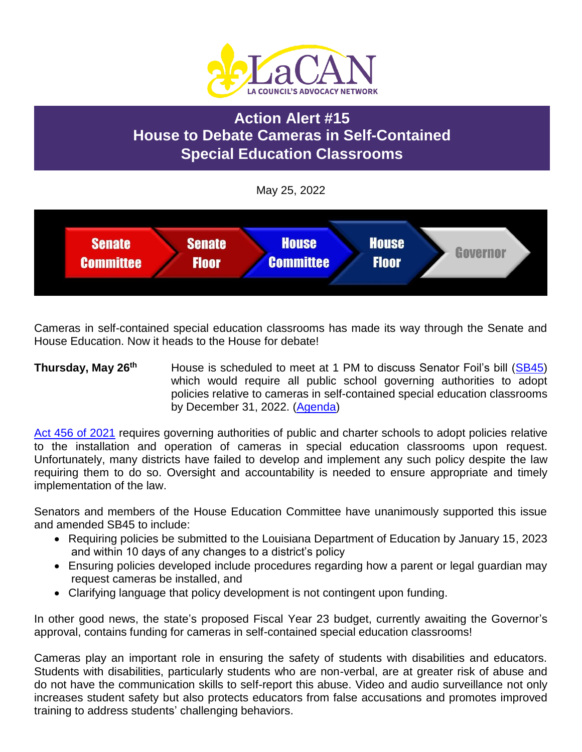

# **Action Alert #15 House to Debate Cameras in Self-Contained Special Education Classrooms**

May 25, 2022



Cameras in self-contained special education classrooms has made its way through the Senate and House Education. Now it heads to the House for debate!

#### **Thursday, May 26th** House is scheduled to meet at 1 PM to discuss Senator Foil's bill [\(SB45\)](https://www.legis.la.gov/legis/BillInfo.aspx?i=241633) which would require all public school governing authorities to adopt policies relative to cameras in self-contained special education classrooms by December 31, 2022. [\(Agenda\)](https://www.legis.la.gov/legis/Agenda.aspx?c=H&g=BODY)

[Act 456 of 2021](https://www.legis.la.gov/legis/ViewDocument.aspx?d=1236004) requires governing authorities of public and charter schools to adopt policies relative to the installation and operation of cameras in special education classrooms upon request. Unfortunately, many districts have failed to develop and implement any such policy despite the law requiring them to do so. Oversight and accountability is needed to ensure appropriate and timely implementation of the law.

Senators and members of the House Education Committee have unanimously supported this issue and amended SB45 to include:

- Requiring policies be submitted to the Louisiana Department of Education by January 15, 2023 and within 10 days of any changes to a district's policy
- Ensuring policies developed include procedures regarding how a parent or legal guardian may request cameras be installed, and
- Clarifying language that policy development is not contingent upon funding.

In other good news, the state's proposed Fiscal Year 23 budget, currently awaiting the Governor's approval, contains funding for cameras in self-contained special education classrooms!

Cameras play an important role in ensuring the safety of students with disabilities and educators. Students with disabilities, particularly students who are non-verbal, are at greater risk of abuse and do not have the communication skills to self-report this abuse. Video and audio surveillance not only increases student safety but also protects educators from false accusations and promotes improved training to address students' challenging behaviors.